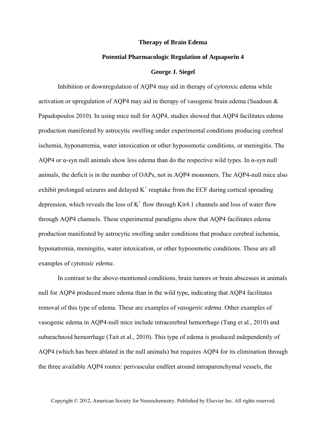## **Therapy of Brain Edema**

## **Potential Pharmacologic Regulation of Aquaporin 4**

## **George J. Siegel**

Inhibition or downregulation of AQP4 may aid in therapy of cytotoxic edema while activation or upregulation of AQP4 may aid in therapy of vasogenic brain edema (Saadoun & Papadopoulos 2010). In using mice null for AQP4, studies showed that AQP4 facilitates edema production manifested by astrocytic swelling under experimental conditions producing cerebral ischemia, hyponatremia, water intoxication or other hypoosmotic conditions, or meningitis. The AQP4 or  $\alpha$ -syn null animals show less edema than do the respective wild types. In  $\alpha$ -syn null animals, the deficit is in the number of OAPs, not in AQP4 monomers. The AQP4-null mice also exhibit prolonged seizures and delayed  $K^+$  reuptake from the ECF during cortical spreading depression, which reveals the loss of  $K^+$  flow through Kir4.1 channels and loss of water flow through AQP4 channels. These experimental paradigms show that AQP4 facilitates edema production manifested by astrocytic swelling under conditions that produce cerebral ischemia, hyponatremia, meningitis, water intoxication, or other hypoosmotic conditions. These are all examples of *cytotoxic edema.*

In contrast to the above-mentioned conditions, brain tumors or brain abscesses in animals null for AQP4 produced more edema than in the wild type, indicating that AQP4 facilitates removal of this type of edema. These are examples of *vasogenic edema*. Other examples of vasogenic edema in AQP4-null mice include intracerebral hemorrhage (Tang et al., 2010) and subarachnoid hemorrhage (Tait et al., 2010). This type of edema is produced independently of AQP4 (which has been ablated in the null animals) but requires AQP4 for its elimination through the three available AQP4 routes: perivascular endfeet around intraparenchymal vessels, the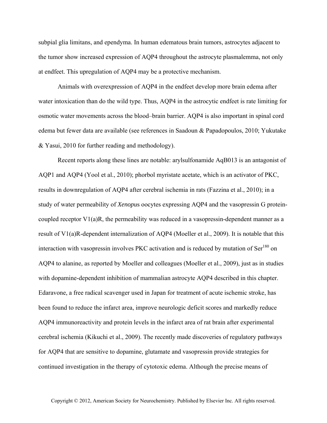subpial glia limitans, and ependyma. In human edematous brain tumors, astrocytes adjacent to the tumor show increased expression of AQP4 throughout the astrocyte plasmalemma, not only at endfeet. This upregulation of AQP4 may be a protective mechanism.

Animals with overexpression of AQP4 in the endfeet develop more brain edema after water intoxication than do the wild type. Thus, AQP4 in the astrocytic endfeet is rate limiting for osmotic water movements across the blood–brain barrier. AQP4 is also important in spinal cord edema but fewer data are available (see references in Saadoun & Papadopoulos, 2010; Yukutake & Yasui, 2010 for further reading and methodology).

Recent reports along these lines are notable: arylsulfonamide AqB013 is an antagonist of AQP1 and AQP4 (Yool et al., 2010); phorbol myristate acetate, which is an activator of PKC, results in downregulation of AQP4 after cerebral ischemia in rats (Fazzina et al., 2010); in a study of water permeability of *Xenopu*s oocytes expressing AQP4 and the vasopressin G proteincoupled receptor V1(a)R, the permeability was reduced in a vasopressin-dependent manner as a result of V1(a)R-dependent internalization of AQP4 (Moeller et al., 2009). It is notable that this interaction with vasopressin involves PKC activation and is reduced by mutation of  $\text{Ser}^{180}$  on AQP4 to alanine, as reported by Moeller and colleagues (Moeller et al., 2009), just as in studies with dopamine-dependent inhibition of mammalian astrocyte AQP4 described in this chapter. Edaravone, a free radical scavenger used in Japan for treatment of acute ischemic stroke, has been found to reduce the infarct area, improve neurologic deficit scores and markedly reduce AQP4 immunoreactivity and protein levels in the infarct area of rat brain after experimental cerebral ischemia (Kikuchi et al., 2009). The recently made discoveries of regulatory pathways for AQP4 that are sensitive to dopamine, glutamate and vasopressin provide strategies for continued investigation in the therapy of cytotoxic edema. Although the precise means of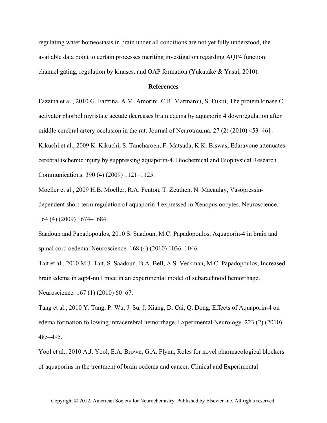regulating water homeostasis in brain under all conditions are not yet fully understood, the available data point to certain processes meriting investigation regarding AQP4 function: channel gating, regulation by kinases, and OAP formation (Yukutake & Yasui, 2010).

## **References**

Fazzina et al., 2010 G. Fazzina, A.M. Amorini, C.R. Marmarou, S. Fukui, The protein kinase C activator phorbol myristate acetate decreases brain edema by aquaporin 4 downregulation after middle cerebral artery occlusion in the rat. Journal of Neurotrauma. 27 (2) (2010) 453–461. Kikuchi et al., 2009 K. Kikuchi, S. Tancharoen, F. Matsuda, K.K. Biswas, Edaravone attenuates cerebral ischemic injury by suppressing aquaporin-4. Biochemical and Biophysical Research Communications. 390 (4) (2009) 1121–1125.

Moeller et al., 2009 H.B. Moeller, R.A. Fenton, T. Zeuthen, N. Macaulay, Vasopressindependent short-term regulation of aquaporin 4 expressed in Xenopus oocytes. Neuroscience. 164 (4) (2009) 1674–1684.

Saadoun and Papadopoulos, 2010 S. Saadoun, M.C. Papadopoulos, Aquaporin-4 in brain and spinal cord oedema. Neuroscience. 168 (4) (2010) 1036–1046.

Tait et al., 2010 M.J. Tait, S. Saadoun, B.A. Bell, A.S. Verkman, M.C. Papadopoulos, Increased brain edema in aqp4-null mice in an experimental model of subarachnoid hemorrhage. Neuroscience. 167 (1) (2010) 60–67.

Tang et al., 2010 Y. Tang, P. Wu, J. Su, J. Xiang, D. Cai, Q. Dong, Effects of Aquaporin-4 on edema formation following intracerebral hemorrhage. Experimental Neurology. 223 (2) (2010) 485–495.

Yool et al., 2010 A.J. Yool, E.A. Brown, G.A. Flynn, Roles for novel pharmacological blockers of aquaporins in the treatment of brain oedema and cancer. Clinical and Experimental